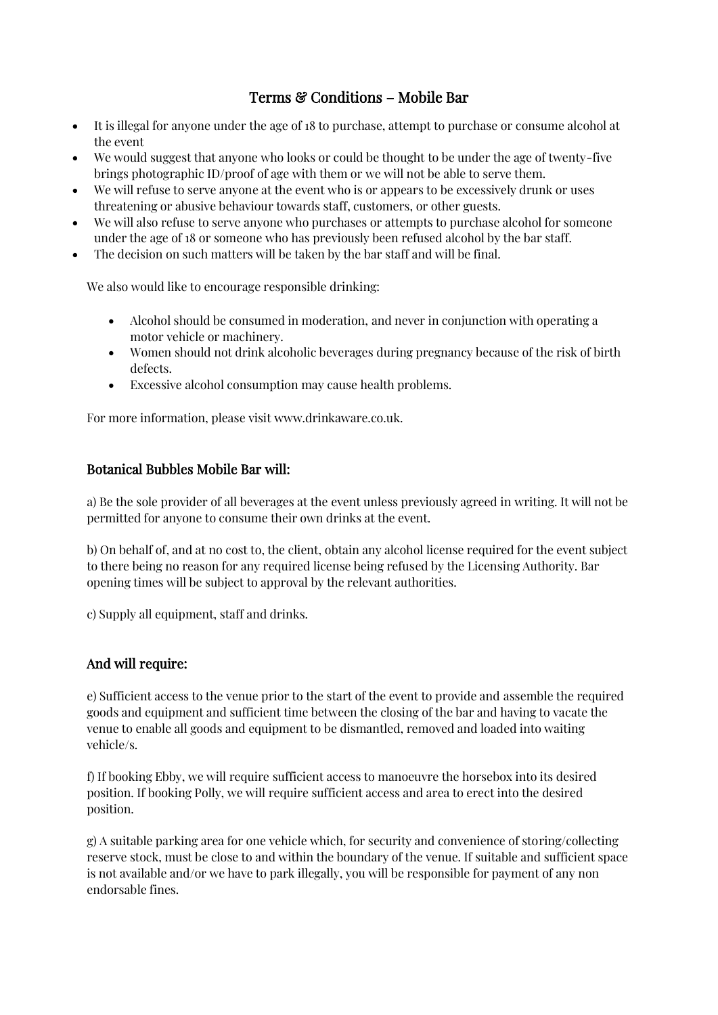# Terms & Conditions – Mobile Bar

- It is illegal for anyone under the age of 18 to purchase, attempt to purchase or consume alcohol at the event
- We would suggest that anyone who looks or could be thought to be under the age of twenty-five brings photographic ID/proof of age with them or we will not be able to serve them.
- We will refuse to serve anyone at the event who is or appears to be excessively drunk or uses threatening or abusive behaviour towards staff, customers, or other guests.
- We will also refuse to serve anyone who purchases or attempts to purchase alcohol for someone under the age of 18 or someone who has previously been refused alcohol by the bar staff.
- The decision on such matters will be taken by the bar staff and will be final.

We also would like to encourage responsible drinking:

- Alcohol should be consumed in moderation, and never in conjunction with operating a motor vehicle or machinery.
- Women should not drink alcoholic beverages during pregnancy because of the risk of birth defects.
- Excessive alcohol consumption may cause health problems.

For more information, please visit www.drinkaware.co.uk.

### Botanical Bubbles Mobile Bar will:

a) Be the sole provider of all beverages at the event unless previously agreed in writing. It will not be permitted for anyone to consume their own drinks at the event.

b) On behalf of, and at no cost to, the client, obtain any alcohol license required for the event subject to there being no reason for any required license being refused by the Licensing Authority. Bar opening times will be subject to approval by the relevant authorities.

c) Supply all equipment, staff and drinks.

### And will require:

e) Sufficient access to the venue prior to the start of the event to provide and assemble the required goods and equipment and sufficient time between the closing of the bar and having to vacate the venue to enable all goods and equipment to be dismantled, removed and loaded into waiting vehicle/s.

f) If booking Ebby, we will require sufficient access to manoeuvre the horsebox into its desired position. If booking Polly, we will require sufficient access and area to erect into the desired position.

g) A suitable parking area for one vehicle which, for security and convenience of storing/collecting reserve stock, must be close to and within the boundary of the venue. If suitable and sufficient space is not available and/or we have to park illegally, you will be responsible for payment of any non endorsable fines.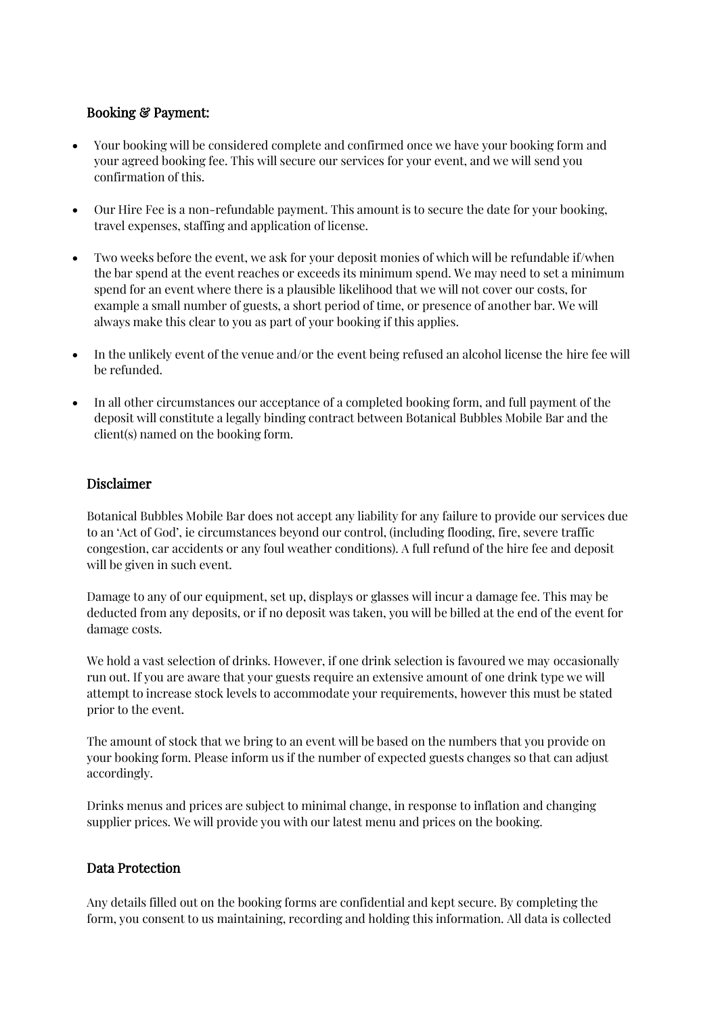## Booking & Payment:

- Your booking will be considered complete and confirmed once we have your booking form and your agreed booking fee. This will secure our services for your event, and we will send you confirmation of this.
- Our Hire Fee is a non-refundable payment. This amount is to secure the date for your booking, travel expenses, staffing and application of license.
- Two weeks before the event, we ask for your deposit monies of which will be refundable if/when the bar spend at the event reaches or exceeds its minimum spend. We may need to set a minimum spend for an event where there is a plausible likelihood that we will not cover our costs, for example a small number of guests, a short period of time, or presence of another bar. We will always make this clear to you as part of your booking if this applies.
- In the unlikely event of the venue and/or the event being refused an alcohol license the hire fee will be refunded.
- In all other circumstances our acceptance of a completed booking form, and full payment of the deposit will constitute a legally binding contract between Botanical Bubbles Mobile Bar and the client(s) named on the booking form.

### Disclaimer

Botanical Bubbles Mobile Bar does not accept any liability for any failure to provide our services due to an 'Act of God', ie circumstances beyond our control, (including flooding, fire, severe traffic congestion, car accidents or any foul weather conditions). A full refund of the hire fee and deposit will be given in such event.

Damage to any of our equipment, set up, displays or glasses will incur a damage fee. This may be deducted from any deposits, or if no deposit was taken, you will be billed at the end of the event for damage costs.

We hold a vast selection of drinks. However, if one drink selection is favoured we may occasionally run out. If you are aware that your guests require an extensive amount of one drink type we will attempt to increase stock levels to accommodate your requirements, however this must be stated prior to the event.

The amount of stock that we bring to an event will be based on the numbers that you provide on your booking form. Please inform us if the number of expected guests changes so that can adjust accordingly.

Drinks menus and prices are subject to minimal change, in response to inflation and changing supplier prices. We will provide you with our latest menu and prices on the booking.

### Data Protection

Any details filled out on the booking forms are confidential and kept secure. By completing the form, you consent to us maintaining, recording and holding this information. All data is collected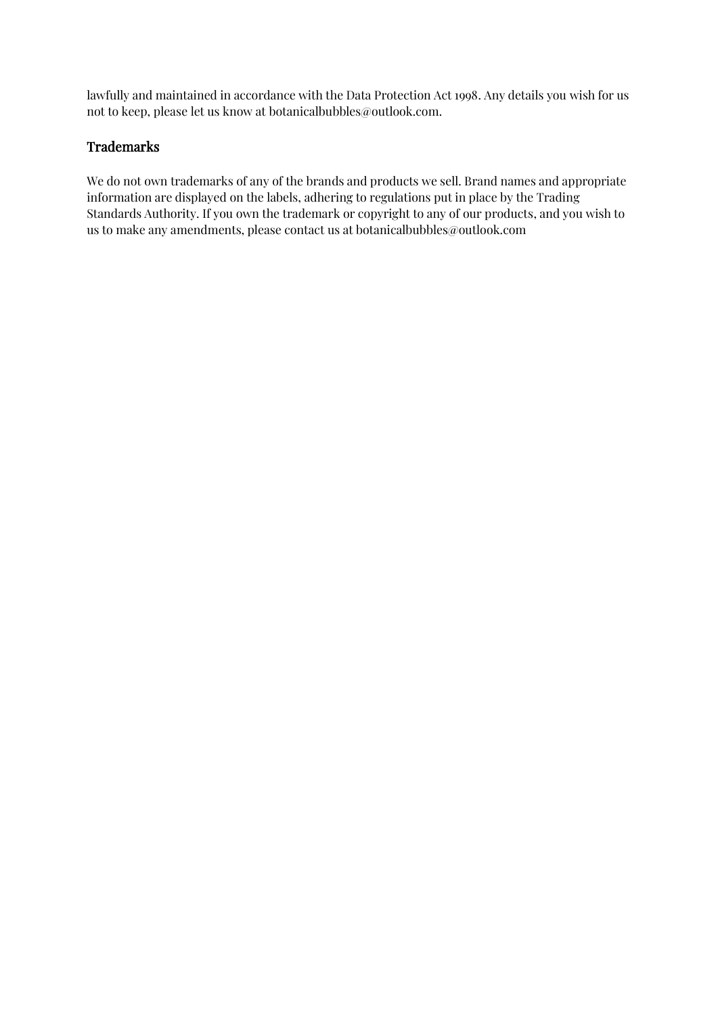lawfully and maintained in accordance with the Data Protection Act 1998. Any details you wish for us not to keep, please let us know at botanicalbubbles@outlook.com.

### Trademarks

We do not own trademarks of any of the brands and products we sell. Brand names and appropriate information are displayed on the labels, adhering to regulations put in place by the Trading Standards Authority. If you own the trademark or copyright to any of our products, and you wish to us to make any amendments, please contact us at botanicalbubbles@outlook.com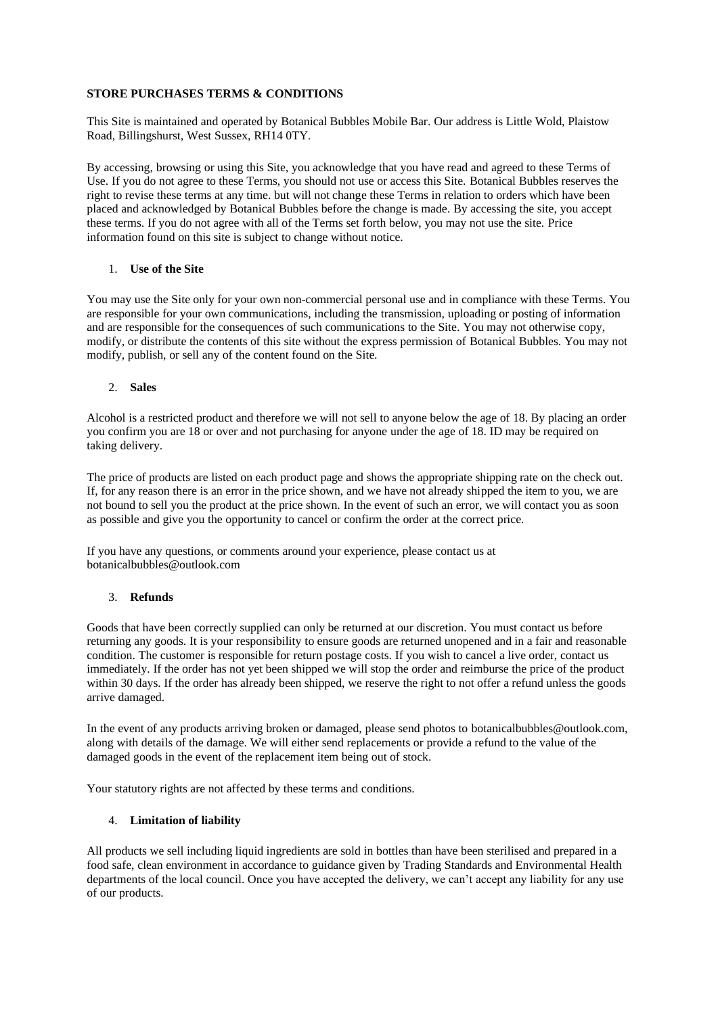#### **STORE PURCHASES TERMS & CONDITIONS**

This Site is maintained and operated by Botanical Bubbles Mobile Bar. Our address is Little Wold, Plaistow Road, Billingshurst, West Sussex, RH14 0TY.

By accessing, browsing or using this Site, you acknowledge that you have read and agreed to these Terms of Use. If you do not agree to these Terms, you should not use or access this Site. Botanical Bubbles reserves the right to revise these terms at any time. but will not change these Terms in relation to orders which have been placed and acknowledged by Botanical Bubbles before the change is made. By accessing the site, you accept these terms. If you do not agree with all of the Terms set forth below, you may not use the site. Price information found on this site is subject to change without notice.

#### 1. **Use of the Site**

You may use the Site only for your own non-commercial personal use and in compliance with these Terms. You are responsible for your own communications, including the transmission, uploading or posting of information and are responsible for the consequences of such communications to the Site. You may not otherwise copy, modify, or distribute the contents of this site without the express permission of Botanical Bubbles. You may not modify, publish, or sell any of the content found on the Site.

#### 2. **Sales**

Alcohol is a restricted product and therefore we will not sell to anyone below the age of 18. By placing an order you confirm you are 18 or over and not purchasing for anyone under the age of 18. ID may be required on taking delivery.

The price of products are listed on each product page and shows the appropriate shipping rate on the check out. If, for any reason there is an error in the price shown, and we have not already shipped the item to you, we are not bound to sell you the product at the price shown. In the event of such an error, we will contact you as soon as possible and give you the opportunity to cancel or confirm the order at the correct price.

If you have any questions, or comments around your experience, please contact us at botanicalbubbles@outlook.com

#### 3. **Refunds**

Goods that have been correctly supplied can only be returned at our discretion. You must contact us before returning any goods. It is your responsibility to ensure goods are returned unopened and in a fair and reasonable condition. The customer is responsible for return postage costs. If you wish to cancel a live order, contact us immediately. If the order has not yet been shipped we will stop the order and reimburse the price of the product within 30 days. If the order has already been shipped, we reserve the right to not offer a refund unless the goods arrive damaged.

In the event of any products arriving broken or damaged, please send photos to botanicalbubbles@outlook.com, along with details of the damage. We will either send replacements or provide a refund to the value of the damaged goods in the event of the replacement item being out of stock.

Your statutory rights are not affected by these terms and conditions.

#### 4. **Limitation of liability**

All products we sell including liquid ingredients are sold in bottles than have been sterilised and prepared in a food safe, clean environment in accordance to guidance given by Trading Standards and Environmental Health departments of the local council. Once you have accepted the delivery, we can't accept any liability for any use of our products.